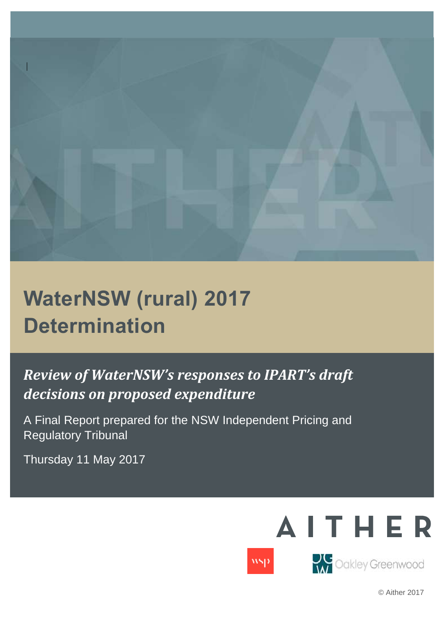

# **WaterNSW (rural) 2017 Determination**

## *Review of WaterNSW's responses to IPART's draft decisions on proposed expenditure*

A Final Report prepared for the NSW Independent Pricing and Regulatory Tribunal

Thursday 11 May 2017



© Aither 2017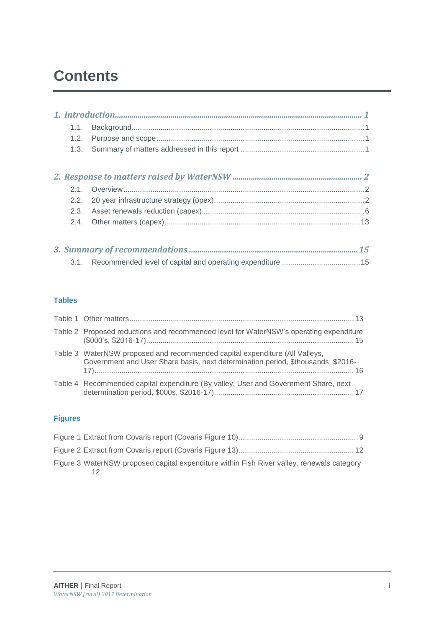## **Contents**

#### **Tables**

| Table 2 Proposed reductions and recommended level for WaterNSW's operating expenditure                                                                          |
|-----------------------------------------------------------------------------------------------------------------------------------------------------------------|
| Table 3 WaterNSW proposed and recommended capital expenditure (All Valleys,<br>Government and User Share basis, next determination period, \$thousands, \$2016- |
| Table 4 Recommended capital expenditure (By valley, User and Government Share, next                                                                             |

### **Figures**

| Figure 3 WaterNSW proposed capital expenditure within Fish River valley, renewals category |  |
|--------------------------------------------------------------------------------------------|--|
|                                                                                            |  |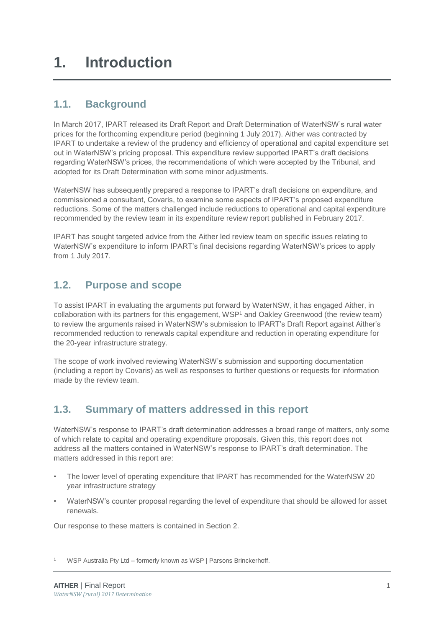## <span id="page-3-1"></span><span id="page-3-0"></span>**1.1. Background**

In March 2017, IPART released its Draft Report and Draft Determination of WaterNSW's rural water prices for the forthcoming expenditure period (beginning 1 July 2017). Aither was contracted by IPART to undertake a review of the prudency and efficiency of operational and capital expenditure set out in WaterNSW's pricing proposal. This expenditure review supported IPART's draft decisions regarding WaterNSW's prices, the recommendations of which were accepted by the Tribunal, and adopted for its Draft Determination with some minor adjustments.

WaterNSW has subsequently prepared a response to IPART's draft decisions on expenditure, and commissioned a consultant, Covaris, to examine some aspects of IPART's proposed expenditure reductions. Some of the matters challenged include reductions to operational and capital expenditure recommended by the review team in its expenditure review report published in February 2017.

IPART has sought targeted advice from the Aither led review team on specific issues relating to WaterNSW's expenditure to inform IPART's final decisions regarding WaterNSW's prices to apply from 1 July 2017.

## <span id="page-3-2"></span>**1.2. Purpose and scope**

To assist IPART in evaluating the arguments put forward by WaterNSW, it has engaged Aither, in collaboration with its partners for this engagement, WSP<sup>1</sup> and Oakley Greenwood (the review team) to review the arguments raised in WaterNSW's submission to IPART's Draft Report against Aither's recommended reduction to renewals capital expenditure and reduction in operating expenditure for the 20-year infrastructure strategy.

The scope of work involved reviewing WaterNSW's submission and supporting documentation (including a report by Covaris) as well as responses to further questions or requests for information made by the review team.

## <span id="page-3-3"></span>**1.3. Summary of matters addressed in this report**

WaterNSW's response to IPART's draft determination addresses a broad range of matters, only some of which relate to capital and operating expenditure proposals. Given this, this report does not address all the matters contained in WaterNSW's response to IPART's draft determination. The matters addressed in this report are:

- The lower level of operating expenditure that IPART has recommended for the WaterNSW 20 year infrastructure strategy
- WaterNSW's counter proposal regarding the level of expenditure that should be allowed for asset renewals.

Our response to these matters is contained in Section 2.

-

WSP Australia Pty Ltd – formerly known as WSP | Parsons Brinckerhoff.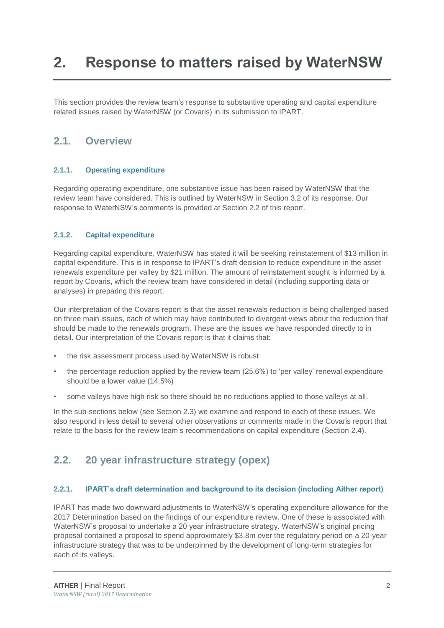## <span id="page-4-0"></span>**2. Response to matters raised by WaterNSW**

This section provides the review team's response to substantive operating and capital expenditure related issues raised by WaterNSW (or Covaris) in its submission to IPART.

### <span id="page-4-1"></span>**2.1. Overview**

#### **2.1.1. Operating expenditure**

Regarding operating expenditure, one substantive issue has been raised by WaterNSW that the review team have considered. This is outlined by WaterNSW in Section 3.2 of its response. Our response to WaterNSW's comments is provided at Section [2.2](#page-4-2) of this report.

#### **2.1.2. Capital expenditure**

Regarding capital expenditure, WaterNSW has stated it will be seeking reinstatement of \$13 million in capital expenditure. This is in response to IPART's draft decision to reduce expenditure in the asset renewals expenditure per valley by \$21 million. The amount of reinstatement sought is informed by a report by Covaris, which the review team have considered in detail (including supporting data or analyses) in preparing this report.

Our interpretation of the Covaris report is that the asset renewals reduction is being challenged based on three main issues, each of which may have contributed to divergent views about the reduction that should be made to the renewals program. These are the issues we have responded directly to in detail. Our interpretation of the Covaris report is that it claims that:

- the risk assessment process used by WaterNSW is robust
- the percentage reduction applied by the review team (25.6%) to 'per valley' renewal expenditure should be a lower value (14.5%)
- some valleys have high risk so there should be no reductions applied to those valleys at all.

In the sub-sections below (see Section [2.3\)](#page-8-0) we examine and respond to each of these issues. We also respond in less detail to several other observations or comments made in the Covaris report that relate to the basis for the review team's recommendations on capital expenditure (Section [2.4\)](#page-15-0).

## <span id="page-4-2"></span>**2.2. 20 year infrastructure strategy (opex)**

#### <span id="page-4-3"></span>**2.2.1. IPART's draft determination and background to its decision (including Aither report)**

IPART has made two downward adjustments to WaterNSW's operating expenditure allowance for the 2017 Determination based on the findings of our expenditure review. One of these is associated with WaterNSW's proposal to undertake a 20 year infrastructure strategy. WaterNSW's original pricing proposal contained a proposal to spend approximately \$3.8m over the regulatory period on a 20-year infrastructure strategy that was to be underpinned by the development of long-term strategies for each of its valleys.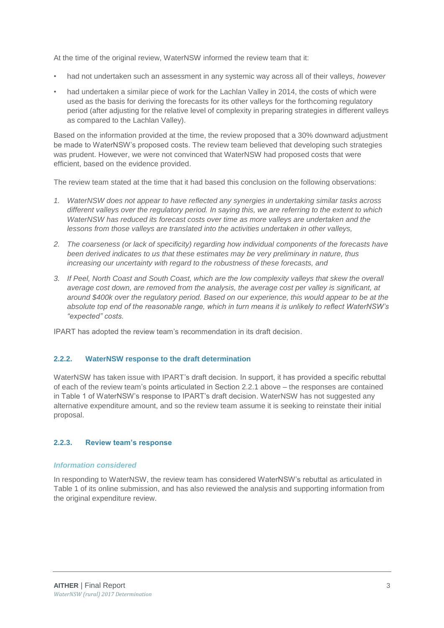At the time of the original review, WaterNSW informed the review team that it:

- had not undertaken such an assessment in any systemic way across all of their valleys, *however*
- had undertaken a similar piece of work for the Lachlan Valley in 2014, the costs of which were used as the basis for deriving the forecasts for its other valleys for the forthcoming regulatory period (after adjusting for the relative level of complexity in preparing strategies in different valleys as compared to the Lachlan Valley).

Based on the information provided at the time, the review proposed that a 30% downward adjustment be made to WaterNSW's proposed costs. The review team believed that developing such strategies was prudent. However, we were not convinced that WaterNSW had proposed costs that were efficient, based on the evidence provided.

The review team stated at the time that it had based this conclusion on the following observations:

- *1. WaterNSW does not appear to have reflected any synergies in undertaking similar tasks across different valleys over the regulatory period. In saying this, we are referring to the extent to which WaterNSW has reduced its forecast costs over time as more valleys are undertaken and the lessons from those valleys are translated into the activities undertaken in other valleys,*
- *2. The coarseness (or lack of specificity) regarding how individual components of the forecasts have been derived indicates to us that these estimates may be very preliminary in nature, thus increasing our uncertainty with regard to the robustness of these forecasts, and*
- *3. If Peel, North Coast and South Coast, which are the low complexity valleys that skew the overall average cost down, are removed from the analysis, the average cost per valley is significant, at around \$400k over the regulatory period. Based on our experience, this would appear to be at the absolute top end of the reasonable range, which in turn means it is unlikely to reflect WaterNSW's "expected" costs.*

IPART has adopted the review team's recommendation in its draft decision.

#### **2.2.2. WaterNSW response to the draft determination**

WaterNSW has taken issue with IPART's draft decision. In support, it has provided a specific rebuttal of each of the review team's points articulated in Section [2.2.1](#page-4-3) above – the responses are contained in Table 1 of WaterNSW's response to IPART's draft decision. WaterNSW has not suggested any alternative expenditure amount, and so the review team assume it is seeking to reinstate their initial proposal.

#### **2.2.3. Review team's response**

#### *Information considered*

In responding to WaterNSW, the review team has considered WaterNSW's rebuttal as articulated in Table 1 of its online submission, and has also reviewed the analysis and supporting information from the original expenditure review.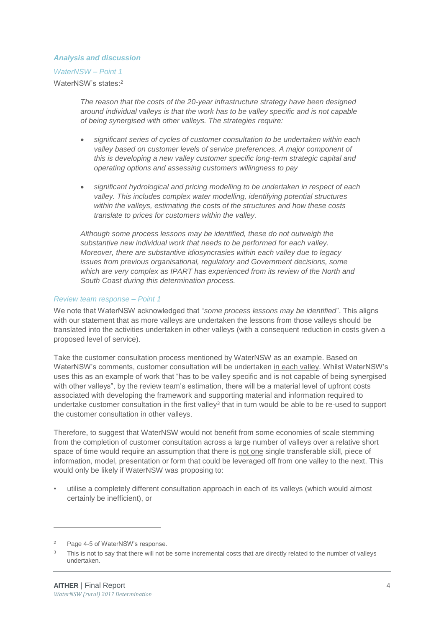#### *Analysis and discussion*

*WaterNSW – Point 1* WaterNSW's states:<sup>2</sup>

> *The reason that the costs of the 20-year infrastructure strategy have been designed around individual valleys is that the work has to be valley specific and is not capable of being synergised with other valleys. The strategies require:*

- *significant series of cycles of customer consultation to be undertaken within each valley based on customer levels of service preferences. A major component of this is developing a new valley customer specific long-term strategic capital and operating options and assessing customers willingness to pay*
- *significant hydrological and pricing modelling to be undertaken in respect of each valley. This includes complex water modelling, identifying potential structures within the valleys, estimating the costs of the structures and how these costs translate to prices for customers within the valley.*

*Although some process lessons may be identified, these do not outweigh the substantive new individual work that needs to be performed for each valley. Moreover, there are substantive idiosyncrasies within each valley due to legacy issues from previous organisational, regulatory and Government decisions, some which are very complex as IPART has experienced from its review of the North and South Coast during this determination process.*

#### *Review team response – Point 1*

We note that WaterNSW acknowledged that "*some process lessons may be identified*". This aligns with our statement that as more valleys are undertaken the lessons from those valleys should be translated into the activities undertaken in other valleys (with a consequent reduction in costs given a proposed level of service).

Take the customer consultation process mentioned by WaterNSW as an example. Based on WaterNSW's comments, customer consultation will be undertaken in each valley. Whilst WaterNSW's uses this as an example of work that "has to be valley specific and is not capable of being synergised with other valleys", by the review team's estimation, there will be a material level of upfront costs associated with developing the framework and supporting material and information required to undertake customer consultation in the first valley<sup>3</sup> that in turn would be able to be re-used to support the customer consultation in other valleys.

Therefore, to suggest that WaterNSW would not benefit from some economies of scale stemming from the completion of customer consultation across a large number of valleys over a relative short space of time would require an assumption that there is not one single transferable skill, piece of information, model, presentation or form that could be leveraged off from one valley to the next. This would only be likely if WaterNSW was proposing to:

• utilise a completely different consultation approach in each of its valleys (which would almost certainly be inefficient), or

Page 4-5 of WaterNSW's response.

This is not to say that there will not be some incremental costs that are directly related to the number of valleys undertaken.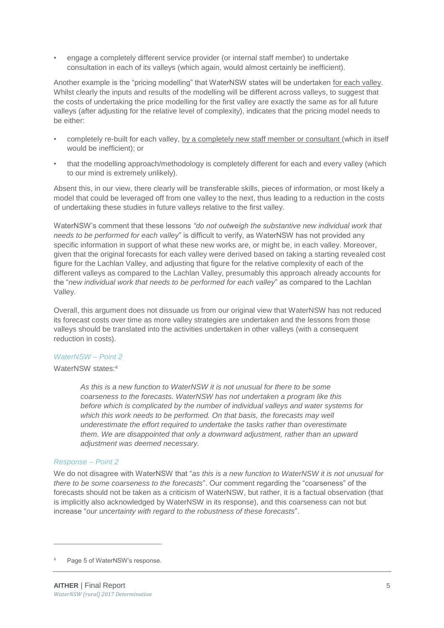• engage a completely different service provider (or internal staff member) to undertake consultation in each of its valleys (which again, would almost certainly be inefficient).

Another example is the "pricing modelling" that WaterNSW states will be undertaken for each valley. Whilst clearly the inputs and results of the modelling will be different across valleys, to suggest that the costs of undertaking the price modelling for the first valley are exactly the same as for all future valleys (after adjusting for the relative level of complexity), indicates that the pricing model needs to be either:

- completely re-built for each valley, by a completely new staff member or consultant (which in itself would be inefficient); or
- that the modelling approach/methodology is completely different for each and every valley (which to our mind is extremely unlikely).

Absent this, in our view, there clearly will be transferable skills, pieces of information, or most likely a model that could be leveraged off from one valley to the next, thus leading to a reduction in the costs of undertaking these studies in future valleys relative to the first valley.

WaterNSW's comment that these lessons *"do not outweigh the substantive new individual work that needs to be performed for each valley*" is difficult to verify, as WaterNSW has not provided any specific information in support of what these new works are, or might be, in each valley. Moreover, given that the original forecasts for each valley were derived based on taking a starting revealed cost figure for the Lachlan Valley, and adjusting that figure for the relative complexity of each of the different valleys as compared to the Lachlan Valley, presumably this approach already accounts for the "*new individual work that needs to be performed for each valley*" as compared to the Lachlan Valley.

Overall, this argument does not dissuade us from our original view that WaterNSW has not reduced its forecast costs over time as more valley strategies are undertaken and the lessons from those valleys should be translated into the activities undertaken in other valleys (with a consequent reduction in costs).

#### *WaterNSW – Point 2*

#### WaterNSW states:<sup>4</sup>

*As this is a new function to WaterNSW it is not unusual for there to be some coarseness to the forecasts. WaterNSW has not undertaken a program like this before which is complicated by the number of individual valleys and water systems for which this work needs to be performed. On that basis, the forecasts may well underestimate the effort required to undertake the tasks rather than overestimate them. We are disappointed that only a downward adjustment, rather than an upward adjustment was deemed necessary.*

#### *Response – Point 2*

-

We do not disagree with WaterNSW that "*as this is a new function to WaterNSW it is not unusual for there to be some coarseness to the forecasts*". Our comment regarding the "coarseness" of the forecasts should not be taken as a criticism of WaterNSW, but rather, it is a factual observation (that is implicitly also acknowledged by WaterNSW in its response), and this coarseness can not but increase "*our uncertainty with regard to the robustness of these forecasts*".

Page 5 of WaterNSW's response.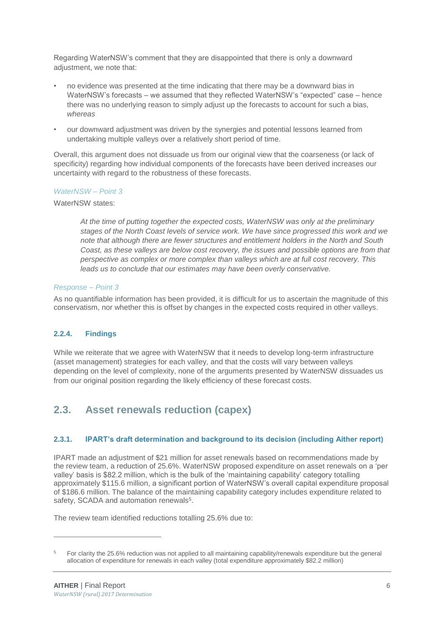Regarding WaterNSW's comment that they are disappointed that there is only a downward adjustment, we note that:

- no evidence was presented at the time indicating that there may be a downward bias in WaterNSW's forecasts – we assumed that they reflected WaterNSW's "expected" case – hence there was no underlying reason to simply adjust up the forecasts to account for such a bias, *whereas*
- our downward adjustment was driven by the synergies and potential lessons learned from undertaking multiple valleys over a relatively short period of time.

Overall, this argument does not dissuade us from our original view that the coarseness (or lack of specificity) regarding how individual components of the forecasts have been derived increases our uncertainty with regard to the robustness of these forecasts.

#### *WaterNSW – Point 3*

WaterNSW states:

*At the time of putting together the expected costs, WaterNSW was only at the preliminary stages of the North Coast levels of service work. We have since progressed this work and we note that although there are fewer structures and entitlement holders in the North and South Coast, as these valleys are below cost recovery, the issues and possible options are from that perspective as complex or more complex than valleys which are at full cost recovery. This leads us to conclude that our estimates may have been overly conservative.*

#### *Response – Point 3*

As no quantifiable information has been provided, it is difficult for us to ascertain the magnitude of this conservatism, nor whether this is offset by changes in the expected costs required in other valleys.

#### **2.2.4. Findings**

While we reiterate that we agree with WaterNSW that it needs to develop long-term infrastructure (asset management) strategies for each valley, and that the costs will vary between valleys depending on the level of complexity, none of the arguments presented by WaterNSW dissuades us from our original position regarding the likely efficiency of these forecast costs.

### <span id="page-8-0"></span>**2.3. Asset renewals reduction (capex)**

#### **2.3.1. IPART's draft determination and background to its decision (including Aither report)**

IPART made an adjustment of \$21 million for asset renewals based on recommendations made by the review team, a reduction of 25.6%. WaterNSW proposed expenditure on asset renewals on a 'per valley' basis is \$82.2 million, which is the bulk of the 'maintaining capability' category totalling approximately \$115.6 million, a significant portion of WaterNSW's overall capital expenditure proposal of \$186.6 million. The balance of the maintaining capability category includes expenditure related to safety, SCADA and automation renewals<sup>5</sup>.

The review team identified reductions totalling 25.6% due to:

<sup>5</sup> For clarity the 25.6% reduction was not applied to all maintaining capability/renewals expenditure but the general allocation of expenditure for renewals in each valley (total expenditure approximately \$82.2 million)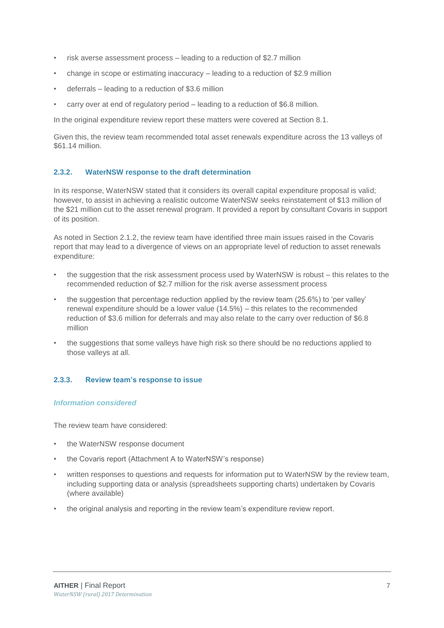- risk averse assessment process leading to a reduction of \$2.7 million
- change in scope or estimating inaccuracy leading to a reduction of \$2.9 million
- deferrals leading to a reduction of \$3.6 million
- carry over at end of regulatory period leading to a reduction of \$6.8 million.

In the original expenditure review report these matters were covered at Section 8.1.

Given this, the review team recommended total asset renewals expenditure across the 13 valleys of \$61.14 million.

#### **2.3.2. WaterNSW response to the draft determination**

In its response, WaterNSW stated that it considers its overall capital expenditure proposal is valid; however, to assist in achieving a realistic outcome WaterNSW seeks reinstatement of \$13 million of the \$21 million cut to the asset renewal program. It provided a report by consultant Covaris in support of its position.

As noted in Section 2.1.2, the review team have identified three main issues raised in the Covaris report that may lead to a divergence of views on an appropriate level of reduction to asset renewals expenditure:

- the suggestion that the risk assessment process used by WaterNSW is robust this relates to the recommended reduction of \$2.7 million for the risk averse assessment process
- the suggestion that percentage reduction applied by the review team (25.6%) to 'per valley' renewal expenditure should be a lower value (14.5%) – this relates to the recommended reduction of \$3.6 million for deferrals and may also relate to the carry over reduction of \$6.8 million
- the suggestions that some valleys have high risk so there should be no reductions applied to those valleys at all.

#### **2.3.3. Review team's response to issue**

#### *Information considered*

The review team have considered:

- the WaterNSW response document
- the Covaris report (Attachment A to WaterNSW's response)
- written responses to questions and requests for information put to WaterNSW by the review team, including supporting data or analysis (spreadsheets supporting charts) undertaken by Covaris (where available)
- the original analysis and reporting in the review team's expenditure review report.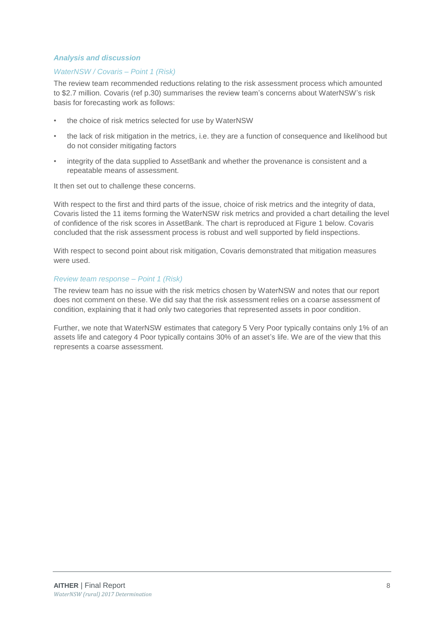#### *Analysis and discussion*

#### *WaterNSW / Covaris – Point 1 (Risk)*

The review team recommended reductions relating to the risk assessment process which amounted to \$2.7 million. Covaris (ref p.30) summarises the review team's concerns about WaterNSW's risk basis for forecasting work as follows:

- the choice of risk metrics selected for use by WaterNSW
- the lack of risk mitigation in the metrics, i.e. they are a function of consequence and likelihood but do not consider mitigating factors
- integrity of the data supplied to AssetBank and whether the provenance is consistent and a repeatable means of assessment.

It then set out to challenge these concerns.

With respect to the first and third parts of the issue, choice of risk metrics and the integrity of data, Covaris listed the 11 items forming the WaterNSW risk metrics and provided a chart detailing the level of confidence of the risk scores in AssetBank. The chart is reproduced at Figure 1 below. Covaris concluded that the risk assessment process is robust and well supported by field inspections.

With respect to second point about risk mitigation, Covaris demonstrated that mitigation measures were used.

#### *Review team response – Point 1 (Risk)*

The review team has no issue with the risk metrics chosen by WaterNSW and notes that our report does not comment on these. We did say that the risk assessment relies on a coarse assessment of condition, explaining that it had only two categories that represented assets in poor condition.

Further, we note that WaterNSW estimates that category 5 Very Poor typically contains only 1% of an assets life and category 4 Poor typically contains 30% of an asset's life. We are of the view that this represents a coarse assessment.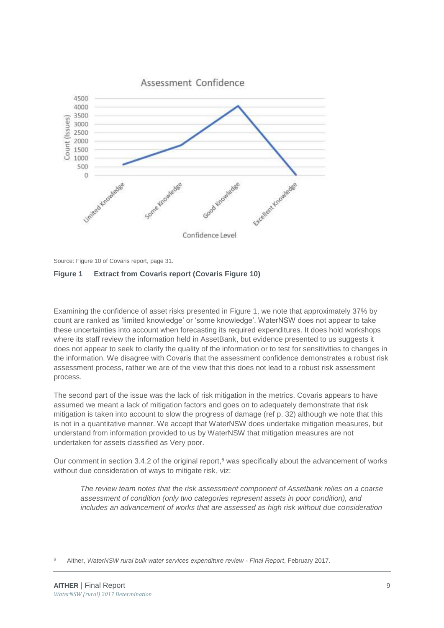

Source: Figure 10 of Covaris report, page 31.

#### <span id="page-11-0"></span>**Figure 1 Extract from Covaris report (Covaris Figure 10)**

Examining the confidence of asset risks presented in [Figure 1,](#page-11-0) we note that approximately 37% by count are ranked as 'limited knowledge' or 'some knowledge'. WaterNSW does not appear to take these uncertainties into account when forecasting its required expenditures. It does hold workshops where its staff review the information held in AssetBank, but evidence presented to us suggests it does not appear to seek to clarify the quality of the information or to test for sensitivities to changes in the information. We disagree with Covaris that the assessment confidence demonstrates a robust risk assessment process, rather we are of the view that this does not lead to a robust risk assessment process.

The second part of the issue was the lack of risk mitigation in the metrics. Covaris appears to have assumed we meant a lack of mitigation factors and goes on to adequately demonstrate that risk mitigation is taken into account to slow the progress of damage (ref p. 32) although we note that this is not in a quantitative manner. We accept that WaterNSW does undertake mitigation measures, but understand from information provided to us by WaterNSW that mitigation measures are not undertaken for assets classified as Very poor.

Our comment in section 3.4.2 of the original report, <sup>6</sup> was specifically about the advancement of works without due consideration of ways to mitigate risk, viz:

*The review team notes that the risk assessment component of Assetbank relies on a coarse assessment of condition (only two categories represent assets in poor condition), and includes an advancement of works that are assessed as high risk without due consideration* 

-

<sup>6</sup> Aither, *WaterNSW rural bulk water services expenditure review - Final Report*, February 2017.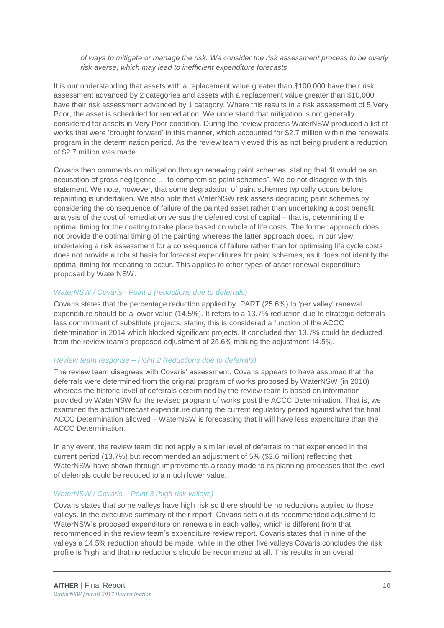*of ways to mitigate or manage the risk. We consider the risk assessment process to be overly risk averse, which may lead to inefficient expenditure forecasts*

It is our understanding that assets with a replacement value greater than \$100,000 have their risk assessment advanced by 2 categories and assets with a replacement value greater than \$10,000 have their risk assessment advanced by 1 category. Where this results in a risk assessment of 5 Very Poor, the asset is scheduled for remediation. We understand that mitigation is not generally considered for assets in Very Poor condition. During the review process WaterNSW produced a list of works that were 'brought forward' in this manner, which accounted for \$2.7 million within the renewals program in the determination period. As the review team viewed this as not being prudent a reduction of \$2.7 million was made.

Covaris then comments on mitigation through renewing paint schemes, stating that "it would be an accusation of gross negligence … to compromise paint schemes". We do not disagree with this statement. We note, however, that some degradation of paint schemes typically occurs before repainting is undertaken. We also note that WaterNSW risk assess degrading paint schemes by considering the consequence of failure of the painted asset rather than undertaking a cost benefit analysis of the cost of remediation versus the deferred cost of capital – that is, determining the optimal timing for the coating to take place based on whole of life costs. The former approach does not provide the optimal timing of the painting whereas the latter approach does. In our view, undertaking a risk assessment for a consequence of failure rather than for optimising life cycle costs does not provide a robust basis for forecast expenditures for paint schemes, as it does not identify the optimal timing for recoating to occur. This applies to other types of asset renewal expenditure proposed by WaterNSW.

#### *WaterNSW / Covaris– Point 2 (reductions due to deferrals)*

Covaris states that the percentage reduction applied by IPART (25.6%) to 'per valley' renewal expenditure should be a lower value (14.5%). It refers to a 13.7% reduction due to strategic deferrals less commitment of substitute projects, stating this is considered a function of the ACCC determination in 2014 which blocked significant projects. It concluded that 13.7% could be deducted from the review team's proposed adjustment of 25.6% making the adjustment 14.5%.

#### *Review team response – Point 2 (reductions due to deferrals)*

The review team disagrees with Covaris' assessment. Covaris appears to have assumed that the deferrals were determined from the original program of works proposed by WaterNSW (in 2010) whereas the historic level of deferrals determined by the review team is based on information provided by WaterNSW for the revised program of works post the ACCC Determination. That is, we examined the actual/forecast expenditure during the current regulatory period against what the final ACCC Determination allowed – WaterNSW is forecasting that it will have less expenditure than the ACCC Determination.

In any event, the review team did not apply a similar level of deferrals to that experienced in the current period (13.7%) but recommended an adjustment of 5% (\$3.6 million) reflecting that WaterNSW have shown through improvements already made to its planning processes that the level of deferrals could be reduced to a much lower value.

#### *WaterNSW / Covaris – Point 3 (high risk valleys)*

Covaris states that some valleys have high risk so there should be no reductions applied to those valleys. In the executive summary of their report, Covaris sets out its recommended adjustment to WaterNSW's proposed expenditure on renewals in each valley, which is different from that recommended in the review team's expenditure review report. Covaris states that in nine of the valleys a 14.5% reduction should be made, while in the other five valleys Covaris concludes the risk profile is 'high' and that no reductions should be recommend at all. This results in an overall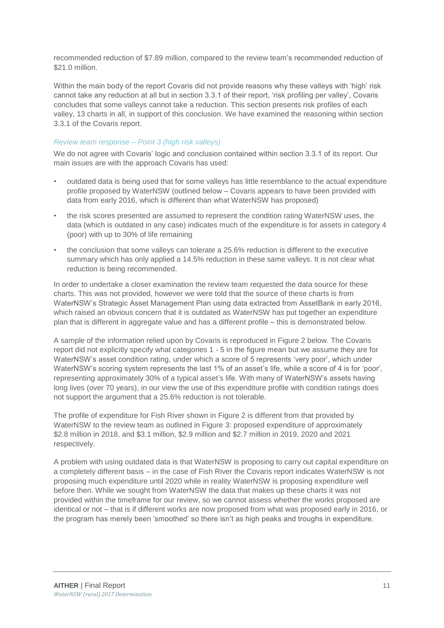recommended reduction of \$7.89 million, compared to the review team's recommended reduction of \$21.0 million.

Within the main body of the report Covaris did not provide reasons why these valleys with 'high' risk cannot take any reduction at all but in section 3.3.1 of their report, 'risk profiling per valley', Covaris concludes that some valleys cannot take a reduction. This section presents risk profiles of each valley, 13 charts in all, in support of this conclusion. We have examined the reasoning within section 3.3.1 of the Covaris report.

#### *Review team response – Point 3 (high risk valleys)*

We do not agree with Covaris' logic and conclusion contained within section 3.3.1 of its report. Our main issues are with the approach Covaris has used:

- outdated data is being used that for some valleys has little resemblance to the actual expenditure profile proposed by WaterNSW (outlined below – Covaris appears to have been provided with data from early 2016, which is different than what WaterNSW has proposed)
- the risk scores presented are assumed to represent the condition rating WaterNSW uses, the data (which is outdated in any case) indicates much of the expenditure is for assets in category 4 (poor) with up to 30% of life remaining
- the conclusion that some valleys can tolerate a 25.6% reduction is different to the executive summary which has only applied a 14.5% reduction in these same valleys. It is not clear what reduction is being recommended.

In order to undertake a closer examination the review team requested the data source for these charts. This was not provided, however we were told that the source of these charts is from WaterNSW's Strategic Asset Management Plan using data extracted from AssetBank in early 2016, which raised an obvious concern that it is outdated as WaterNSW has put together an expenditure plan that is different in aggregate value and has a different profile – this is demonstrated below.

A sample of the information relied upon by Covaris is reproduced in Figure 2 below. The Covaris report did not explicitly specify what categories 1 - 5 in the figure mean but we assume they are for WaterNSW's asset condition rating, under which a score of 5 represents 'very poor', which under WaterNSW's scoring system represents the last 1% of an asset's life, while a score of 4 is for 'poor', representing approximately 30% of a typical asset's life. With many of WaterNSW's assets having long lives (over 70 years), in our view the use of this expenditure profile with condition ratings does not support the argument that a 25.6% reduction is not tolerable.

The profile of expenditure for Fish River shown in [Figure 2](#page-14-0) is different from that provided by WaterNSW to the review team as outlined in [Figure 3:](#page-14-1) proposed expenditure of approximately \$2.8 million in 2018, and \$3.1 million, \$2.9 million and \$2.7 million in 2019, 2020 and 2021 respectively.

A problem with using outdated data is that WaterNSW is proposing to carry out capital expenditure on a completely different basis – in the case of Fish River the Covaris report indicates WaterNSW is not proposing much expenditure until 2020 while in reality WaterNSW is proposing expenditure well before then. While we sought from WaterNSW the data that makes up these charts it was not provided within the timeframe for our review, so we cannot assess whether the works proposed are identical or not – that is if different works are now proposed from what was proposed early in 2016, or the program has merely been 'smoothed' so there isn't as high peaks and troughs in expenditure.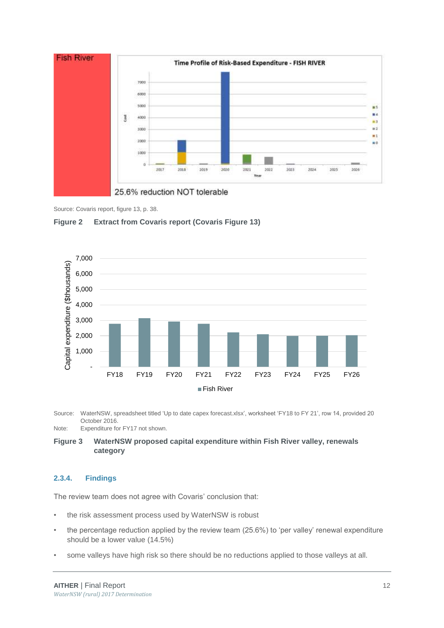

#### Source: Covaris report, figure 13, p. 38.

<span id="page-14-0"></span>



Source: WaterNSW, spreadsheet titled 'Up to date capex forecast.xlsx', worksheet 'FY18 to FY 21', row 14, provided 20 October 2016. Note: Expenditure for FY17 not shown.

<span id="page-14-1"></span>**Figure 3 WaterNSW proposed capital expenditure within Fish River valley, renewals category**

#### **2.3.4. Findings**

The review team does not agree with Covaris' conclusion that:

- the risk assessment process used by WaterNSW is robust
- the percentage reduction applied by the review team (25.6%) to 'per valley' renewal expenditure should be a lower value (14.5%)
- some valleys have high risk so there should be no reductions applied to those valleys at all.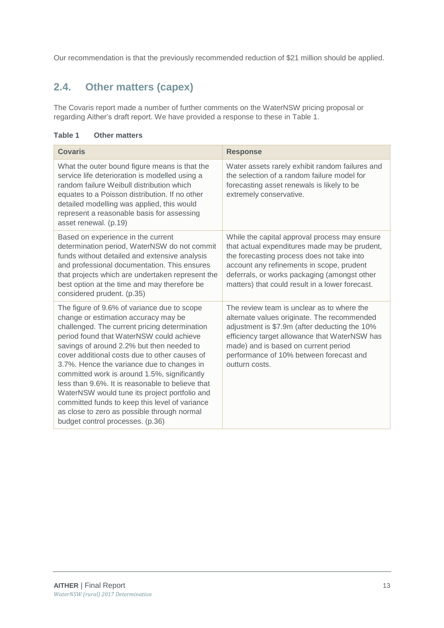Our recommendation is that the previously recommended reduction of \$21 million should be applied.

## <span id="page-15-0"></span>**2.4. Other matters (capex)**

The Covaris report made a number of further comments on the WaterNSW pricing proposal or regarding Aither's draft report. We have provided a response to these in Table 1.

|  | Table 1 |  |  | <b>Other matters</b> |
|--|---------|--|--|----------------------|
|--|---------|--|--|----------------------|

| <b>Covaris</b>                                                                                                                                                                                                                                                                                                                                                                                                                                                                                                                                                                                                         | <b>Response</b>                                                                                                                                                                                                                                                                                  |
|------------------------------------------------------------------------------------------------------------------------------------------------------------------------------------------------------------------------------------------------------------------------------------------------------------------------------------------------------------------------------------------------------------------------------------------------------------------------------------------------------------------------------------------------------------------------------------------------------------------------|--------------------------------------------------------------------------------------------------------------------------------------------------------------------------------------------------------------------------------------------------------------------------------------------------|
| What the outer bound figure means is that the<br>service life deterioration is modelled using a<br>random failure Weibull distribution which<br>equates to a Poisson distribution. If no other<br>detailed modelling was applied, this would<br>represent a reasonable basis for assessing<br>asset renewal. (p.19)                                                                                                                                                                                                                                                                                                    | Water assets rarely exhibit random failures and<br>the selection of a random failure model for<br>forecasting asset renewals is likely to be<br>extremely conservative.                                                                                                                          |
| Based on experience in the current<br>determination period, WaterNSW do not commit<br>funds without detailed and extensive analysis<br>and professional documentation. This ensures<br>that projects which are undertaken represent the<br>best option at the time and may therefore be<br>considered prudent. (p.35)                                                                                                                                                                                                                                                                                                  | While the capital approval process may ensure<br>that actual expenditures made may be prudent,<br>the forecasting process does not take into<br>account any refinements in scope, prudent<br>deferrals, or works packaging (amongst other<br>matters) that could result in a lower forecast.     |
| The figure of 9.6% of variance due to scope<br>change or estimation accuracy may be<br>challenged. The current pricing determination<br>period found that WaterNSW could achieve<br>savings of around 2.2% but then needed to<br>cover additional costs due to other causes of<br>3.7%. Hence the variance due to changes in<br>committed work is around 1.5%, significantly<br>less than 9.6%. It is reasonable to believe that<br>WaterNSW would tune its project portfolio and<br>committed funds to keep this level of variance<br>as close to zero as possible through normal<br>budget control processes. (p.36) | The review team is unclear as to where the<br>alternate values originate. The recommended<br>adjustment is \$7.9m (after deducting the 10%<br>efficiency target allowance that WaterNSW has<br>made) and is based on current period<br>performance of 10% between forecast and<br>outturn costs. |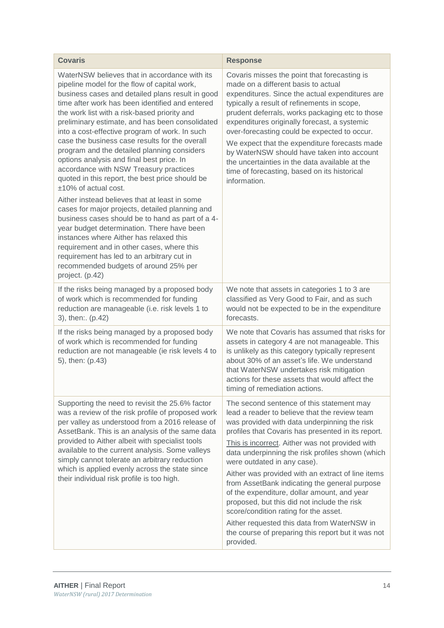| <b>Covaris</b>                                                                                                                                                                                                                                                                                                                                                                                                                                                                                                                                                                                                                                                                                                                                                                                                                                                                                                                                                                                                                        | <b>Response</b>                                                                                                                                                                                                                                                                                                                                                                                                                                                                                                                                                                                                                                                                                       |
|---------------------------------------------------------------------------------------------------------------------------------------------------------------------------------------------------------------------------------------------------------------------------------------------------------------------------------------------------------------------------------------------------------------------------------------------------------------------------------------------------------------------------------------------------------------------------------------------------------------------------------------------------------------------------------------------------------------------------------------------------------------------------------------------------------------------------------------------------------------------------------------------------------------------------------------------------------------------------------------------------------------------------------------|-------------------------------------------------------------------------------------------------------------------------------------------------------------------------------------------------------------------------------------------------------------------------------------------------------------------------------------------------------------------------------------------------------------------------------------------------------------------------------------------------------------------------------------------------------------------------------------------------------------------------------------------------------------------------------------------------------|
| WaterNSW believes that in accordance with its<br>pipeline model for the flow of capital work,<br>business cases and detailed plans result in good<br>time after work has been identified and entered<br>the work list with a risk-based priority and<br>preliminary estimate, and has been consolidated<br>into a cost-effective program of work. In such<br>case the business case results for the overall<br>program and the detailed planning considers<br>options analysis and final best price. In<br>accordance with NSW Treasury practices<br>quoted in this report, the best price should be<br>±10% of actual cost.<br>Aither instead believes that at least in some<br>cases for major projects, detailed planning and<br>business cases should be to hand as part of a 4-<br>year budget determination. There have been<br>instances where Aither has relaxed this<br>requirement and in other cases, where this<br>requirement has led to an arbitrary cut in<br>recommended budgets of around 25% per<br>project. (p.42) | Covaris misses the point that forecasting is<br>made on a different basis to actual<br>expenditures. Since the actual expenditures are<br>typically a result of refinements in scope,<br>prudent deferrals, works packaging etc to those<br>expenditures originally forecast, a systemic<br>over-forecasting could be expected to occur.<br>We expect that the expenditure forecasts made<br>by WaterNSW should have taken into account<br>the uncertainties in the data available at the<br>time of forecasting, based on its historical<br>information.                                                                                                                                             |
| If the risks being managed by a proposed body<br>of work which is recommended for funding<br>reduction are manageable (i.e. risk levels 1 to<br>3), then: (p.42)                                                                                                                                                                                                                                                                                                                                                                                                                                                                                                                                                                                                                                                                                                                                                                                                                                                                      | We note that assets in categories 1 to 3 are<br>classified as Very Good to Fair, and as such<br>would not be expected to be in the expenditure<br>forecasts.                                                                                                                                                                                                                                                                                                                                                                                                                                                                                                                                          |
| If the risks being managed by a proposed body<br>of work which is recommended for funding<br>reduction are not manageable (ie risk levels 4 to<br>5), then: (p.43)                                                                                                                                                                                                                                                                                                                                                                                                                                                                                                                                                                                                                                                                                                                                                                                                                                                                    | We note that Covaris has assumed that risks for<br>assets in category 4 are not manageable. This<br>is unlikely as this category typically represent<br>about 30% of an asset's life. We understand<br>that WaterNSW undertakes risk mitigation<br>actions for these assets that would affect the<br>timing of remediation actions.                                                                                                                                                                                                                                                                                                                                                                   |
| Supporting the need to revisit the 25.6% factor<br>was a review of the risk profile of proposed work<br>per valley as understood from a 2016 release of<br>AssetBank. This is an analysis of the same data<br>provided to Aither albeit with specialist tools<br>available to the current analysis. Some valleys<br>simply cannot tolerate an arbitrary reduction<br>which is applied evenly across the state since<br>their individual risk profile is too high.                                                                                                                                                                                                                                                                                                                                                                                                                                                                                                                                                                     | The second sentence of this statement may<br>lead a reader to believe that the review team<br>was provided with data underpinning the risk<br>profiles that Covaris has presented in its report.<br>This is incorrect. Aither was not provided with<br>data underpinning the risk profiles shown (which<br>were outdated in any case).<br>Aither was provided with an extract of line items<br>from AssetBank indicating the general purpose<br>of the expenditure, dollar amount, and year<br>proposed, but this did not include the risk<br>score/condition rating for the asset.<br>Aither requested this data from WaterNSW in<br>the course of preparing this report but it was not<br>provided. |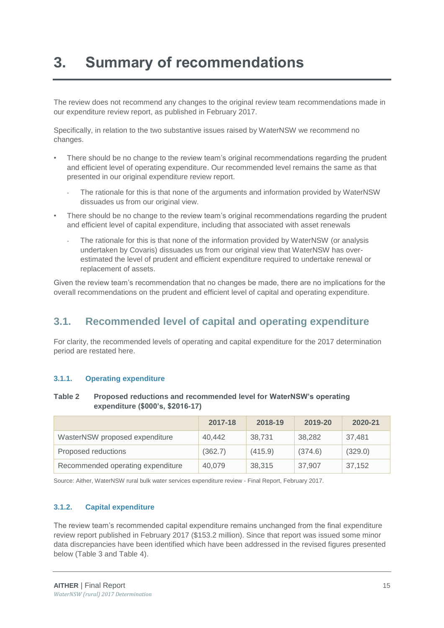## <span id="page-17-0"></span>**3. Summary of recommendations**

The review does not recommend any changes to the original review team recommendations made in our expenditure review report, as published in February 2017.

Specifically, in relation to the two substantive issues raised by WaterNSW we recommend no changes.

- There should be no change to the review team's original recommendations regarding the prudent and efficient level of operating expenditure. Our recommended level remains the same as that presented in our original expenditure review report.
	- The rationale for this is that none of the arguments and information provided by WaterNSW dissuades us from our original view.
- There should be no change to the review team's original recommendations regarding the prudent and efficient level of capital expenditure, including that associated with asset renewals
	- The rationale for this is that none of the information provided by WaterNSW (or analysis undertaken by Covaris) dissuades us from our original view that WaterNSW has overestimated the level of prudent and efficient expenditure required to undertake renewal or replacement of assets.

Given the review team's recommendation that no changes be made, there are no implications for the overall recommendations on the prudent and efficient level of capital and operating expenditure.

### <span id="page-17-1"></span>**3.1. Recommended level of capital and operating expenditure**

For clarity, the recommended levels of operating and capital expenditure for the 2017 determination period are restated here.

#### **3.1.1. Operating expenditure**

#### **Table 2 Proposed reductions and recommended level for WaterNSW's operating expenditure (\$000's, \$2016-17)**

|                                   | 2017-18 | 2018-19 | 2019-20 | 2020-21 |
|-----------------------------------|---------|---------|---------|---------|
| WasterNSW proposed expenditure    | 40,442  | 38.731  | 38.282  | 37,481  |
| Proposed reductions               | (362.7) | (415.9) | (374.6) | (329.0) |
| Recommended operating expenditure | 40.079  | 38,315  | 37.907  | 37,152  |

Source: Aither, WaterNSW rural bulk water services expenditure review - Final Report, February 2017.

#### **3.1.2. Capital expenditure**

The review team's recommended capital expenditure remains unchanged from the final expenditure review report published in February 2017 (\$153.2 million). Since that report was issued some minor data discrepancies have been identified which have been addressed in the revised figures presented below [\(Table 3](#page-18-0) and [Table 4\)](#page-19-0).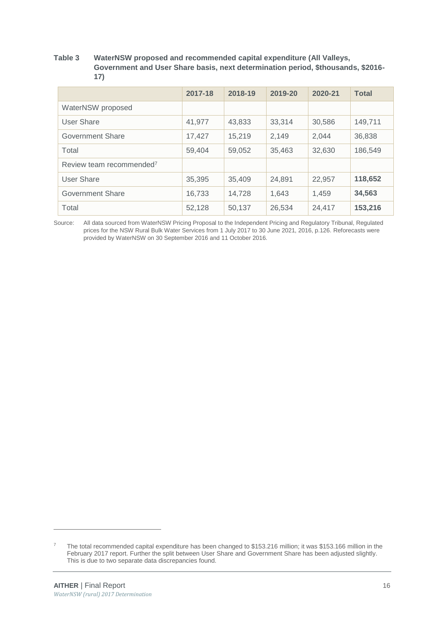#### <span id="page-18-0"></span>**Table 3 WaterNSW proposed and recommended capital expenditure (All Valleys, Government and User Share basis, next determination period, \$thousands, \$2016- 17)**

|                                      | 2017-18 | 2018-19 | 2019-20 | 2020-21 | <b>Total</b> |
|--------------------------------------|---------|---------|---------|---------|--------------|
| WaterNSW proposed                    |         |         |         |         |              |
| User Share                           | 41,977  | 43,833  | 33,314  | 30,586  | 149,711      |
| Government Share                     | 17,427  | 15,219  | 2,149   | 2.044   | 36,838       |
| Total                                | 59.404  | 59,052  | 35,463  | 32,630  | 186,549      |
| Review team recommended <sup>7</sup> |         |         |         |         |              |
| User Share                           | 35,395  | 35,409  | 24,891  | 22,957  | 118,652      |
| Government Share                     | 16,733  | 14.728  | 1.643   | 1.459   | 34,563       |
| Total                                | 52,128  | 50,137  | 26,534  | 24,417  | 153,216      |

Source: All data sourced from WaterNSW Pricing Proposal to the Independent Pricing and Regulatory Tribunal, Regulated prices for the NSW Rural Bulk Water Services from 1 July 2017 to 30 June 2021, 2016, p.126. Reforecasts were provided by WaterNSW on 30 September 2016 and 11 October 2016.

<sup>&</sup>lt;sup>7</sup> The total recommended capital expenditure has been changed to \$153.216 million; it was \$153.166 million in the February 2017 report. Further the split between User Share and Government Share has been adjusted slightly. This is due to two separate data discrepancies found.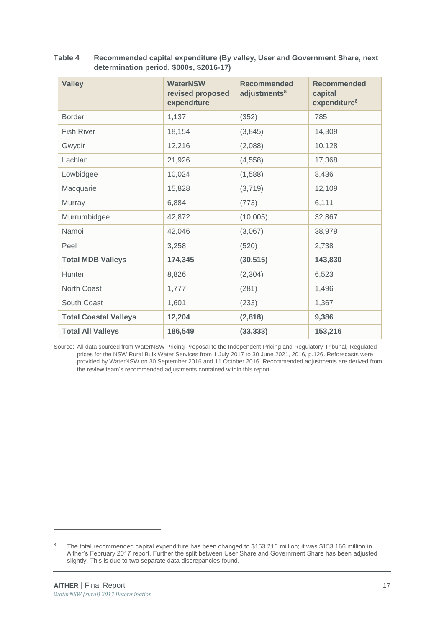<span id="page-19-1"></span>

| <b>Valley</b>                | <b>WaterNSW</b><br>revised proposed<br>expenditure | <b>Recommended</b><br>adjustments <sup>8</sup> | <b>Recommended</b><br>capital<br>expenditure <sup>8</sup> |
|------------------------------|----------------------------------------------------|------------------------------------------------|-----------------------------------------------------------|
| <b>Border</b>                | 1,137                                              | (352)                                          | 785                                                       |
| <b>Fish River</b>            | 18,154                                             | (3,845)                                        | 14,309                                                    |
| Gwydir                       | 12,216                                             | (2,088)                                        | 10,128                                                    |
| Lachlan                      | 21,926                                             | (4, 558)                                       | 17,368                                                    |
| Lowbidgee                    | 10,024                                             | (1,588)                                        | 8,436                                                     |
| Macquarie                    | 15,828                                             | (3,719)                                        | 12,109                                                    |
| Murray                       | 6,884                                              | (773)                                          | 6,111                                                     |
| Murrumbidgee                 | 42,872                                             | (10,005)                                       | 32,867                                                    |
| Namoi                        | 42,046                                             | (3,067)                                        | 38,979                                                    |
| Peel                         | 3,258                                              | (520)                                          | 2,738                                                     |
| <b>Total MDB Valleys</b>     | 174,345                                            | (30, 515)                                      | 143,830                                                   |
| Hunter                       | 8,826                                              | (2,304)                                        | 6,523                                                     |
| <b>North Coast</b>           | 1,777                                              | (281)                                          | 1,496                                                     |
| South Coast                  | 1,601                                              | (233)                                          | 1,367                                                     |
| <b>Total Coastal Valleys</b> | 12,204                                             | (2,818)                                        | 9,386                                                     |
| <b>Total All Valleys</b>     | 186,549                                            | (33, 333)                                      | 153,216                                                   |

<span id="page-19-0"></span>**Table 4 Recommended capital expenditure (By valley, User and Government Share, next determination period, \$000s, \$2016-17)**

Source: All data sourced from WaterNSW Pricing Proposal to the Independent Pricing and Regulatory Tribunal, Regulated prices for the NSW Rural Bulk Water Services from 1 July 2017 to 30 June 2021, 2016, p.126. Reforecasts were provided by WaterNSW on 30 September 2016 and 11 October 2016. Recommended adjustments are derived from the review team's recommended adjustments contained within this report.

<sup>&</sup>lt;sup>8</sup> The total recommended capital expenditure has been changed to \$153.216 million; it was \$153.166 million in Aither's February 2017 report. Further the split between User Share and Government Share has been adjusted slightly. This is due to two separate data discrepancies found.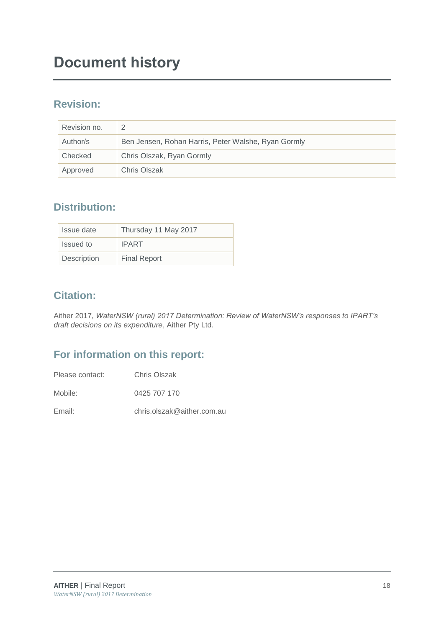## **Document history**

## **Revision:**

| Revision no. |                                                     |
|--------------|-----------------------------------------------------|
| Author/s     | Ben Jensen, Rohan Harris, Peter Walshe, Ryan Gormly |
| Checked      | Chris Olszak, Ryan Gormly                           |
| Approved     | Chris Olszak                                        |

## **Distribution:**

| Issue date  | Thursday 11 May 2017 |
|-------------|----------------------|
| Issued to   | <b>IPART</b>         |
| Description | <b>Final Report</b>  |

## **Citation:**

Aither 2017, *WaterNSW (rural) 2017 Determination: Review of WaterNSW's responses to IPART's draft decisions on its expenditure*, Aither Pty Ltd.

## **For information on this report:**

Mobile: 0425 707 170

Email: chris.olszak@aither.com.au